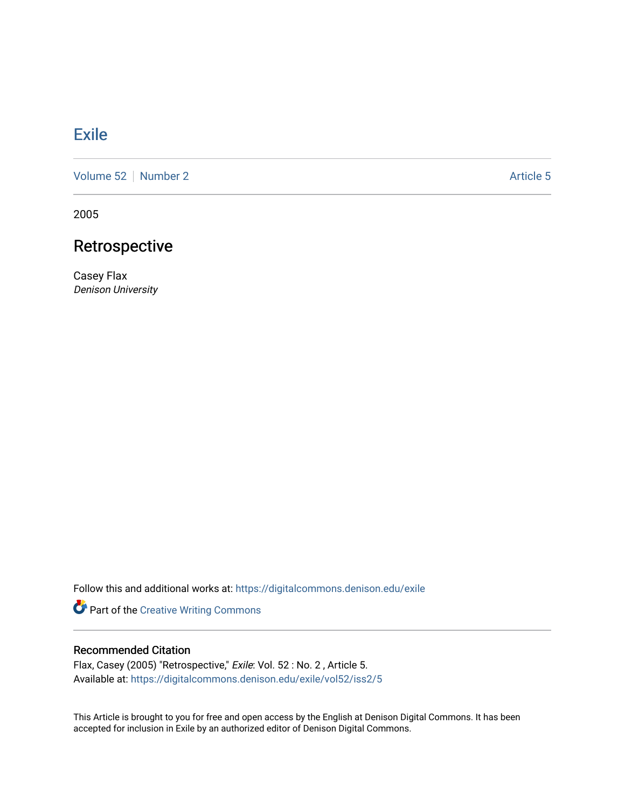## [Exile](https://digitalcommons.denison.edu/exile)

[Volume 52](https://digitalcommons.denison.edu/exile/vol52) [Number 2](https://digitalcommons.denison.edu/exile/vol52/iss2) Article 5

2005

# Retrospective

Casey Flax Denison University

Follow this and additional works at: [https://digitalcommons.denison.edu/exile](https://digitalcommons.denison.edu/exile?utm_source=digitalcommons.denison.edu%2Fexile%2Fvol52%2Fiss2%2F5&utm_medium=PDF&utm_campaign=PDFCoverPages) 

Part of the [Creative Writing Commons](http://network.bepress.com/hgg/discipline/574?utm_source=digitalcommons.denison.edu%2Fexile%2Fvol52%2Fiss2%2F5&utm_medium=PDF&utm_campaign=PDFCoverPages) 

## Recommended Citation

Flax, Casey (2005) "Retrospective," Exile: Vol. 52 : No. 2 , Article 5. Available at: [https://digitalcommons.denison.edu/exile/vol52/iss2/5](https://digitalcommons.denison.edu/exile/vol52/iss2/5?utm_source=digitalcommons.denison.edu%2Fexile%2Fvol52%2Fiss2%2F5&utm_medium=PDF&utm_campaign=PDFCoverPages) 

This Article is brought to you for free and open access by the English at Denison Digital Commons. It has been accepted for inclusion in Exile by an authorized editor of Denison Digital Commons.